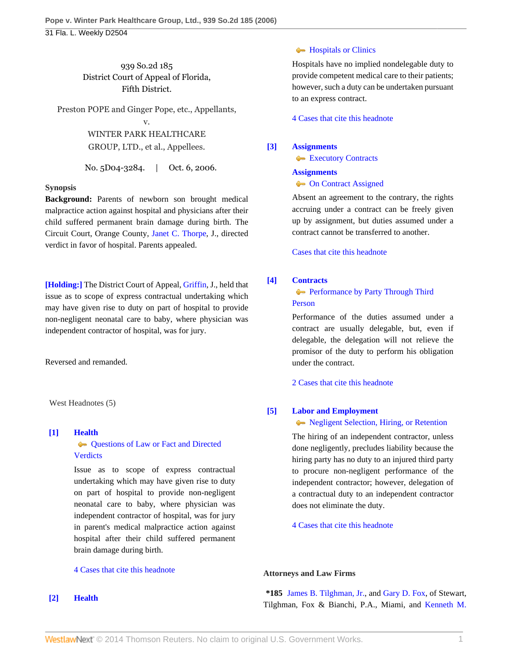# 939 So.2d 185 District Court of Appeal of Florida, Fifth District.

Preston POPE and Ginger Pope, etc., Appellants,

v. WINTER PARK HEALTHCARE GROUP, LTD., et al., Appellees.

No. 5D04-3284. | Oct. 6, 2006.

## **Synopsis**

**Background:** Parents of newborn son brought medical malpractice action against hospital and physicians after their child suffered permanent brain damage during birth. The Circuit Court, Orange County, [Janet C. Thorpe,](http://www.westlaw.com/Link/Document/FullText?findType=h&pubNum=176284&cite=0144064701&originatingDoc=Ib5ba0c23553811db80c2e56cac103088&refType=RQ&originationContext=document&vr=3.0&rs=cblt1.0&transitionType=DocumentItem&contextData=(sc.Default)) J., directed verdict in favor of hospital. Parents appealed.

**[\[Holding:\]](#page-0-0)** The District Court of Appeal, [Griffin](http://www.westlaw.com/Link/Document/FullText?findType=h&pubNum=176284&cite=0153455501&originatingDoc=Ib5ba0c23553811db80c2e56cac103088&refType=RQ&originationContext=document&vr=3.0&rs=cblt1.0&transitionType=DocumentItem&contextData=(sc.Default)), J., held that issue as to scope of express contractual undertaking which may have given rise to duty on part of hospital to provide non-negligent neonatal care to baby, where physician was independent contractor of hospital, was for jury.

Reversed and remanded.

West Headnotes (5)

#### <span id="page-0-0"></span>**[\[1\]](#page-1-0) [Health](http://www.westlaw.com/Browse/Home/KeyNumber/198H/View.html?docGuid=Ib5ba0c23553811db80c2e56cac103088&originationContext=document&vr=3.0&rs=cblt1.0&transitionType=DocumentItem&contextData=(sc.Default))**

# **[Questions of Law or Fact and Directed](http://www.westlaw.com/Browse/Home/KeyNumber/198Hk824/View.html?docGuid=Ib5ba0c23553811db80c2e56cac103088&originationContext=document&vr=3.0&rs=cblt1.0&transitionType=DocumentItem&contextData=(sc.Default)) [Verdicts](http://www.westlaw.com/Browse/Home/KeyNumber/198Hk824/View.html?docGuid=Ib5ba0c23553811db80c2e56cac103088&originationContext=document&vr=3.0&rs=cblt1.0&transitionType=DocumentItem&contextData=(sc.Default))**

Issue as to scope of express contractual undertaking which may have given rise to duty on part of hospital to provide non-negligent neonatal care to baby, where physician was independent contractor of hospital, was for jury in parent's medical malpractice action against hospital after their child suffered permanent brain damage during birth.

# [4 Cases that cite this headnote](http://www.westlaw.com/Link/RelatedInformation/DocHeadnoteLink?docGuid=Ib5ba0c23553811db80c2e56cac103088&headnoteId=201042263100120090310115135&originationContext=document&vr=3.0&rs=cblt1.0&transitionType=CitingReferences&contextData=(sc.Default))

<span id="page-0-1"></span>**[\[2\]](#page-1-1) [Health](http://www.westlaw.com/Browse/Home/KeyNumber/198H/View.html?docGuid=Ib5ba0c23553811db80c2e56cac103088&originationContext=document&vr=3.0&rs=cblt1.0&transitionType=DocumentItem&contextData=(sc.Default))**

### **[Hospitals or Clinics](http://www.westlaw.com/Browse/Home/KeyNumber/198Hk781/View.html?docGuid=Ib5ba0c23553811db80c2e56cac103088&originationContext=document&vr=3.0&rs=cblt1.0&transitionType=DocumentItem&contextData=(sc.Default))**

Hospitals have no implied nondelegable duty to provide competent medical care to their patients; however, such a duty can be undertaken pursuant to an express contract.

[4 Cases that cite this headnote](http://www.westlaw.com/Link/RelatedInformation/DocHeadnoteLink?docGuid=Ib5ba0c23553811db80c2e56cac103088&headnoteId=201042263100220090310115135&originationContext=document&vr=3.0&rs=cblt1.0&transitionType=CitingReferences&contextData=(sc.Default))

### <span id="page-0-2"></span>**[\[3\]](#page-3-0) [Assignments](http://www.westlaw.com/Browse/Home/KeyNumber/38/View.html?docGuid=Ib5ba0c23553811db80c2e56cac103088&originationContext=document&vr=3.0&rs=cblt1.0&transitionType=DocumentItem&contextData=(sc.Default))**

[Executory Contracts](http://www.westlaw.com/Browse/Home/KeyNumber/38k17/View.html?docGuid=Ib5ba0c23553811db80c2e56cac103088&originationContext=document&vr=3.0&rs=cblt1.0&transitionType=DocumentItem&contextData=(sc.Default))

### **[Assignments](http://www.westlaw.com/Browse/Home/KeyNumber/38/View.html?docGuid=Ib5ba0c23553811db80c2e56cac103088&originationContext=document&vr=3.0&rs=cblt1.0&transitionType=DocumentItem&contextData=(sc.Default))**

• [On Contract Assigned](http://www.westlaw.com/Browse/Home/KeyNumber/38k109/View.html?docGuid=Ib5ba0c23553811db80c2e56cac103088&originationContext=document&vr=3.0&rs=cblt1.0&transitionType=DocumentItem&contextData=(sc.Default))

Absent an agreement to the contrary, the rights accruing under a contract can be freely given up by assignment, but duties assumed under a contract cannot be transferred to another.

[Cases that cite this headnote](http://www.westlaw.com/Link/RelatedInformation/DocHeadnoteLink?docGuid=Ib5ba0c23553811db80c2e56cac103088&headnoteId=201042263100320090310115135&originationContext=document&vr=3.0&rs=cblt1.0&transitionType=CitingReferences&contextData=(sc.Default))

# <span id="page-0-3"></span>**[\[4\]](#page-3-1) [Contracts](http://www.westlaw.com/Browse/Home/KeyNumber/95/View.html?docGuid=Ib5ba0c23553811db80c2e56cac103088&originationContext=document&vr=3.0&rs=cblt1.0&transitionType=DocumentItem&contextData=(sc.Default))**

# **[Performance by Party Through Third](http://www.westlaw.com/Browse/Home/KeyNumber/95k280(2)/View.html?docGuid=Ib5ba0c23553811db80c2e56cac103088&originationContext=document&vr=3.0&rs=cblt1.0&transitionType=DocumentItem&contextData=(sc.Default))** [Person](http://www.westlaw.com/Browse/Home/KeyNumber/95k280(2)/View.html?docGuid=Ib5ba0c23553811db80c2e56cac103088&originationContext=document&vr=3.0&rs=cblt1.0&transitionType=DocumentItem&contextData=(sc.Default))

Performance of the duties assumed under a contract are usually delegable, but, even if delegable, the delegation will not relieve the promisor of the duty to perform his obligation under the contract.

[2 Cases that cite this headnote](http://www.westlaw.com/Link/RelatedInformation/DocHeadnoteLink?docGuid=Ib5ba0c23553811db80c2e56cac103088&headnoteId=201042263100420090310115135&originationContext=document&vr=3.0&rs=cblt1.0&transitionType=CitingReferences&contextData=(sc.Default))

# <span id="page-0-4"></span>**[\[5\]](#page-4-0) [Labor and Employment](http://www.westlaw.com/Browse/Home/KeyNumber/231H/View.html?docGuid=Ib5ba0c23553811db80c2e56cac103088&originationContext=document&vr=3.0&rs=cblt1.0&transitionType=DocumentItem&contextData=(sc.Default))**

## **[Negligent Selection, Hiring, or Retention](http://www.westlaw.com/Browse/Home/KeyNumber/231Hk3132/View.html?docGuid=Ib5ba0c23553811db80c2e56cac103088&originationContext=document&vr=3.0&rs=cblt1.0&transitionType=DocumentItem&contextData=(sc.Default))**

The hiring of an independent contractor, unless done negligently, precludes liability because the hiring party has no duty to an injured third party to procure non-negligent performance of the independent contractor; however, delegation of a contractual duty to an independent contractor does not eliminate the duty.

## [4 Cases that cite this headnote](http://www.westlaw.com/Link/RelatedInformation/DocHeadnoteLink?docGuid=Ib5ba0c23553811db80c2e56cac103088&headnoteId=201042263100520090310115135&originationContext=document&vr=3.0&rs=cblt1.0&transitionType=CitingReferences&contextData=(sc.Default))

#### **Attorneys and Law Firms**

**\*185** [James B. Tilghman, Jr.](http://www.westlaw.com/Link/Document/FullText?findType=h&pubNum=176284&cite=0150930101&originatingDoc=Ib5ba0c23553811db80c2e56cac103088&refType=RQ&originationContext=document&vr=3.0&rs=cblt1.0&transitionType=DocumentItem&contextData=(sc.Default)), and [Gary D. Fox,](http://www.westlaw.com/Link/Document/FullText?findType=h&pubNum=176284&cite=0209320601&originatingDoc=Ib5ba0c23553811db80c2e56cac103088&refType=RQ&originationContext=document&vr=3.0&rs=cblt1.0&transitionType=DocumentItem&contextData=(sc.Default)) of Stewart, Tilghman, Fox & Bianchi, P.A., Miami, and [Kenneth M.](http://www.westlaw.com/Link/Document/FullText?findType=h&pubNum=176284&cite=0122937601&originatingDoc=Ib5ba0c23553811db80c2e56cac103088&refType=RQ&originationContext=document&vr=3.0&rs=cblt1.0&transitionType=DocumentItem&contextData=(sc.Default))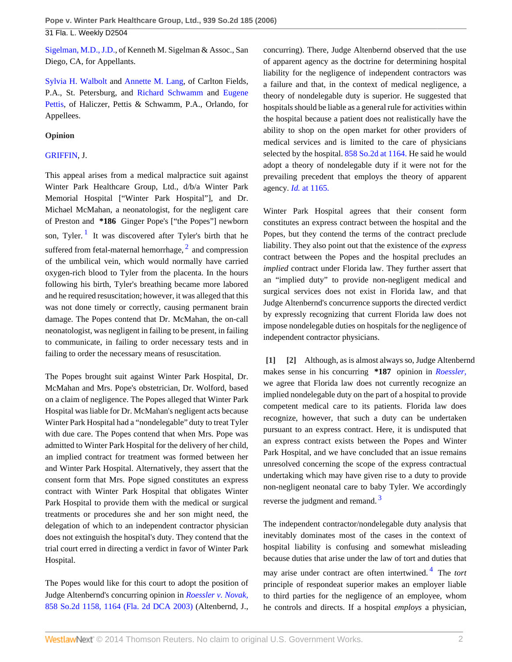[Sigelman, M.D., J.D.,](http://www.westlaw.com/Link/Document/FullText?findType=h&pubNum=176284&cite=0122937601&originatingDoc=Ib5ba0c23553811db80c2e56cac103088&refType=RQ&originationContext=document&vr=3.0&rs=cblt1.0&transitionType=DocumentItem&contextData=(sc.Default)) of Kenneth M. Sigelman & Assoc., San Diego, CA, for Appellants.

[Sylvia H. Walbolt](http://www.westlaw.com/Link/Document/FullText?findType=h&pubNum=176284&cite=0162439301&originatingDoc=Ib5ba0c23553811db80c2e56cac103088&refType=RQ&originationContext=document&vr=3.0&rs=cblt1.0&transitionType=DocumentItem&contextData=(sc.Default)) and [Annette M. Lang](http://www.westlaw.com/Link/Document/FullText?findType=h&pubNum=176284&cite=0331425101&originatingDoc=Ib5ba0c23553811db80c2e56cac103088&refType=RQ&originationContext=document&vr=3.0&rs=cblt1.0&transitionType=DocumentItem&contextData=(sc.Default)), of Carlton Fields, P.A., St. Petersburg, and [Richard Schwamm](http://www.westlaw.com/Link/Document/FullText?findType=h&pubNum=176284&cite=0324894901&originatingDoc=Ib5ba0c23553811db80c2e56cac103088&refType=RQ&originationContext=document&vr=3.0&rs=cblt1.0&transitionType=DocumentItem&contextData=(sc.Default)) and [Eugene](http://www.westlaw.com/Link/Document/FullText?findType=h&pubNum=176284&cite=0226253401&originatingDoc=Ib5ba0c23553811db80c2e56cac103088&refType=RQ&originationContext=document&vr=3.0&rs=cblt1.0&transitionType=DocumentItem&contextData=(sc.Default)) [Pettis](http://www.westlaw.com/Link/Document/FullText?findType=h&pubNum=176284&cite=0226253401&originatingDoc=Ib5ba0c23553811db80c2e56cac103088&refType=RQ&originationContext=document&vr=3.0&rs=cblt1.0&transitionType=DocumentItem&contextData=(sc.Default)), of Haliczer, Pettis & Schwamm, P.A., Orlando, for Appellees.

# **Opinion**

# [GRIFFIN,](http://www.westlaw.com/Link/Document/FullText?findType=h&pubNum=176284&cite=0153455501&originatingDoc=Ib5ba0c23553811db80c2e56cac103088&refType=RQ&originationContext=document&vr=3.0&rs=cblt1.0&transitionType=DocumentItem&contextData=(sc.Default)) J.

<span id="page-1-2"></span>This appeal arises from a medical malpractice suit against Winter Park Healthcare Group, Ltd., d/b/a Winter Park Memorial Hospital ["Winter Park Hospital"], and Dr. Michael McMahan, a neonatologist, for the negligent care of Preston and **\*186** Ginger Pope's ["the Popes"] newborn son, Tyler.<sup>[1](#page-5-0)</sup> It was discovered after Tyler's birth that he suffered from fetal-maternal hemorrhage,  $2$  and compression of the umbilical vein, which would normally have carried oxygen-rich blood to Tyler from the placenta. In the hours following his birth, Tyler's breathing became more labored and he required resuscitation; however, it was alleged that this was not done timely or correctly, causing permanent brain damage. The Popes contend that Dr. McMahan, the on-call neonatologist, was negligent in failing to be present, in failing to communicate, in failing to order necessary tests and in failing to order the necessary means of resuscitation.

The Popes brought suit against Winter Park Hospital, Dr. McMahan and Mrs. Pope's obstetrician, Dr. Wolford, based on a claim of negligence. The Popes alleged that Winter Park Hospital was liable for Dr. McMahan's negligent acts because Winter Park Hospital had a "nondelegable" duty to treat Tyler with due care. The Popes contend that when Mrs. Pope was admitted to Winter Park Hospital for the delivery of her child, an implied contract for treatment was formed between her and Winter Park Hospital. Alternatively, they assert that the consent form that Mrs. Pope signed constitutes an express contract with Winter Park Hospital that obligates Winter Park Hospital to provide them with the medical or surgical treatments or procedures she and her son might need, the delegation of which to an independent contractor physician does not extinguish the hospital's duty. They contend that the trial court erred in directing a verdict in favor of Winter Park Hospital.

The Popes would like for this court to adopt the position of Judge Altenbernd's concurring opinion in *[Roessler v. Novak,](http://www.westlaw.com/Link/Document/FullText?findType=Y&serNum=2003755316&pubNum=735&fi=co_pp_sp_735_1164&originationContext=document&vr=3.0&rs=cblt1.0&transitionType=DocumentItem&contextData=(sc.Default)#co_pp_sp_735_1164)* [858 So.2d 1158, 1164 \(Fla. 2d DCA 2003\)](http://www.westlaw.com/Link/Document/FullText?findType=Y&serNum=2003755316&pubNum=735&fi=co_pp_sp_735_1164&originationContext=document&vr=3.0&rs=cblt1.0&transitionType=DocumentItem&contextData=(sc.Default)#co_pp_sp_735_1164) (Altenbernd, J.,

concurring). There, Judge Altenbernd observed that the use of apparent agency as the doctrine for determining hospital liability for the negligence of independent contractors was a failure and that, in the context of medical negligence, a theory of nondelegable duty is superior. He suggested that hospitals should be liable as a general rule for activities within the hospital because a patient does not realistically have the ability to shop on the open market for other providers of medical services and is limited to the care of physicians selected by the hospital. [858 So.2d at 1164.](http://www.westlaw.com/Link/Document/FullText?findType=Y&serNum=2003755316&pubNum=735&fi=co_pp_sp_735_1164&originationContext=document&vr=3.0&rs=cblt1.0&transitionType=DocumentItem&contextData=(sc.Default)#co_pp_sp_735_1164) He said he would adopt a theory of nondelegable duty if it were not for the prevailing precedent that employs the theory of apparent agency. *Id.* [at 1165.](http://www.westlaw.com/Link/Document/FullText?findType=Y&serNum=2003755316&originationContext=document&vr=3.0&rs=cblt1.0&transitionType=DocumentItem&contextData=(sc.Default))

<span id="page-1-3"></span>Winter Park Hospital agrees that their consent form constitutes an express contract between the hospital and the Popes, but they contend the terms of the contract preclude liability. They also point out that the existence of the *express* contract between the Popes and the hospital precludes an *implied* contract under Florida law. They further assert that an "implied duty" to provide non-negligent medical and surgical services does not exist in Florida law, and that Judge Altenbernd's concurrence supports the directed verdict by expressly recognizing that current Florida law does not impose nondelegable duties on hospitals for the negligence of independent contractor physicians.

<span id="page-1-1"></span><span id="page-1-0"></span>**[\[1\]](#page-0-0) [\[2](#page-0-1)]** Although, as is almost always so, Judge Altenbernd makes sense in his concurring **\*187** opinion in *[Roessler,](http://www.westlaw.com/Link/Document/FullText?findType=Y&serNum=2003755316&originationContext=document&vr=3.0&rs=cblt1.0&transitionType=DocumentItem&contextData=(sc.Default))* we agree that Florida law does not currently recognize an implied nondelegable duty on the part of a hospital to provide competent medical care to its patients. Florida law does recognize, however, that such a duty can be undertaken pursuant to an express contract. Here, it is undisputed that an express contract exists between the Popes and Winter Park Hospital, and we have concluded that an issue remains unresolved concerning the scope of the express contractual undertaking which may have given rise to a duty to provide non-negligent neonatal care to baby Tyler. We accordingly reverse the judgment and remand.<sup>[3](#page-5-2)</sup>

<span id="page-1-5"></span><span id="page-1-4"></span>The independent contractor/nondelegable duty analysis that inevitably dominates most of the cases in the context of hospital liability is confusing and somewhat misleading because duties that arise under the law of tort and duties that may arise under contract are often intertwined. [4](#page-5-3) The *tort* principle of respondeat superior makes an employer liable to third parties for the negligence of an employee, whom he controls and directs. If a hospital *employs* a physician,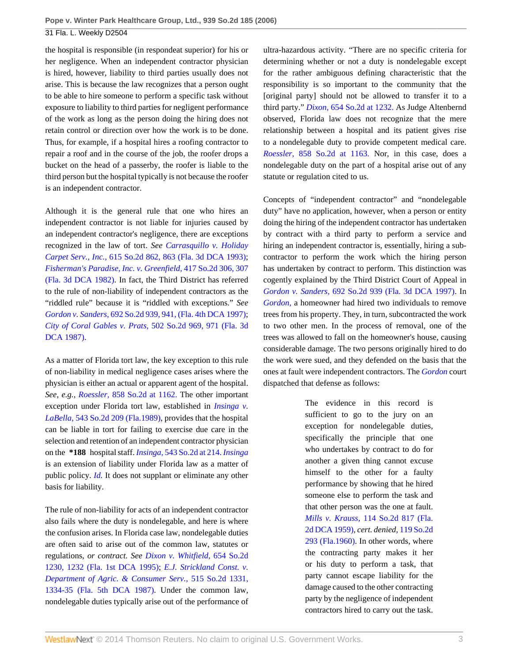the hospital is responsible (in respondeat superior) for his or her negligence. When an independent contractor physician is hired, however, liability to third parties usually does not arise. This is because the law recognizes that a person ought to be able to hire someone to perform a specific task without exposure to liability to third parties for negligent performance of the work as long as the person doing the hiring does not retain control or direction over how the work is to be done. Thus, for example, if a hospital hires a roofing contractor to repair a roof and in the course of the job, the roofer drops a bucket on the head of a passerby, the roofer is liable to the third person but the hospital typically is not because the roofer is an independent contractor.

Although it is the general rule that one who hires an independent contractor is not liable for injuries caused by an independent contractor's negligence, there are exceptions recognized in the law of tort. *See [Carrasquillo v. Holiday](http://www.westlaw.com/Link/Document/FullText?findType=Y&serNum=1992206575&pubNum=735&fi=co_pp_sp_735_863&originationContext=document&vr=3.0&rs=cblt1.0&transitionType=DocumentItem&contextData=(sc.Default)#co_pp_sp_735_863) Carpet Serv., Inc.,* [615 So.2d 862, 863 \(Fla. 3d DCA 1993\)](http://www.westlaw.com/Link/Document/FullText?findType=Y&serNum=1992206575&pubNum=735&fi=co_pp_sp_735_863&originationContext=document&vr=3.0&rs=cblt1.0&transitionType=DocumentItem&contextData=(sc.Default)#co_pp_sp_735_863); *[Fisherman's Paradise, Inc. v. Greenfield,](http://www.westlaw.com/Link/Document/FullText?findType=Y&serNum=1982134668&pubNum=735&fi=co_pp_sp_735_307&originationContext=document&vr=3.0&rs=cblt1.0&transitionType=DocumentItem&contextData=(sc.Default)#co_pp_sp_735_307)* 417 So.2d 306, 307 [\(Fla. 3d DCA 1982\).](http://www.westlaw.com/Link/Document/FullText?findType=Y&serNum=1982134668&pubNum=735&fi=co_pp_sp_735_307&originationContext=document&vr=3.0&rs=cblt1.0&transitionType=DocumentItem&contextData=(sc.Default)#co_pp_sp_735_307) In fact, the Third District has referred to the rule of non-liability of independent contractors as the "riddled rule" because it is "riddled with exceptions." *See Gordon v. Sanders,* [692 So.2d 939, 941, \(Fla. 4th DCA 1997\)](http://www.westlaw.com/Link/Document/FullText?findType=Y&serNum=1997086914&pubNum=735&fi=co_pp_sp_735_941&originationContext=document&vr=3.0&rs=cblt1.0&transitionType=DocumentItem&contextData=(sc.Default)#co_pp_sp_735_941); *[City of Coral Gables v. Prats,](http://www.westlaw.com/Link/Document/FullText?findType=Y&serNum=1987018210&pubNum=735&fi=co_pp_sp_735_971&originationContext=document&vr=3.0&rs=cblt1.0&transitionType=DocumentItem&contextData=(sc.Default)#co_pp_sp_735_971)* 502 So.2d 969, 971 (Fla. 3d [DCA 1987\).](http://www.westlaw.com/Link/Document/FullText?findType=Y&serNum=1987018210&pubNum=735&fi=co_pp_sp_735_971&originationContext=document&vr=3.0&rs=cblt1.0&transitionType=DocumentItem&contextData=(sc.Default)#co_pp_sp_735_971)

As a matter of Florida tort law, the key exception to this rule of non-liability in medical negligence cases arises where the physician is either an actual or apparent agent of the hospital. *See, e.g., Roessler,* [858 So.2d at 1162.](http://www.westlaw.com/Link/Document/FullText?findType=Y&serNum=2003755316&pubNum=735&fi=co_pp_sp_735_1162&originationContext=document&vr=3.0&rs=cblt1.0&transitionType=DocumentItem&contextData=(sc.Default)#co_pp_sp_735_1162) The other important exception under Florida tort law, established in *[Insinga v.](http://www.westlaw.com/Link/Document/FullText?findType=Y&serNum=1989060259&pubNum=735&originationContext=document&vr=3.0&rs=cblt1.0&transitionType=DocumentItem&contextData=(sc.Default)) LaBella,* [543 So.2d 209 \(Fla.1989\)](http://www.westlaw.com/Link/Document/FullText?findType=Y&serNum=1989060259&pubNum=735&originationContext=document&vr=3.0&rs=cblt1.0&transitionType=DocumentItem&contextData=(sc.Default)), provides that the hospital can be liable in tort for failing to exercise due care in the selection and retention of an independent contractor physician on the **\*188** hospital staff. *Insinga,* [543 So.2d at 214.](http://www.westlaw.com/Link/Document/FullText?findType=Y&serNum=1989060259&pubNum=735&fi=co_pp_sp_735_214&originationContext=document&vr=3.0&rs=cblt1.0&transitionType=DocumentItem&contextData=(sc.Default)#co_pp_sp_735_214) *[Insinga](http://www.westlaw.com/Link/Document/FullText?findType=Y&serNum=1989060259&originationContext=document&vr=3.0&rs=cblt1.0&transitionType=DocumentItem&contextData=(sc.Default))* is an extension of liability under Florida law as a matter of public policy. *[Id.](http://www.westlaw.com/Link/Document/FullText?findType=Y&serNum=1989060259&originationContext=document&vr=3.0&rs=cblt1.0&transitionType=DocumentItem&contextData=(sc.Default))* It does not supplant or eliminate any other basis for liability.

The rule of non-liability for acts of an independent contractor also fails where the duty is nondelegable, and here is where the confusion arises. In Florida case law, nondelegable duties are often said to arise out of the common law, statutes or regulations, *or contract. See [Dixon v. Whitfield,](http://www.westlaw.com/Link/Document/FullText?findType=Y&serNum=1995104304&pubNum=735&fi=co_pp_sp_735_1232&originationContext=document&vr=3.0&rs=cblt1.0&transitionType=DocumentItem&contextData=(sc.Default)#co_pp_sp_735_1232)* 654 So.2d [1230, 1232 \(Fla. 1st DCA 1995\);](http://www.westlaw.com/Link/Document/FullText?findType=Y&serNum=1995104304&pubNum=735&fi=co_pp_sp_735_1232&originationContext=document&vr=3.0&rs=cblt1.0&transitionType=DocumentItem&contextData=(sc.Default)#co_pp_sp_735_1232) *[E.J. Strickland Const. v.](http://www.westlaw.com/Link/Document/FullText?findType=Y&serNum=1987142763&pubNum=735&fi=co_pp_sp_735_1334&originationContext=document&vr=3.0&rs=cblt1.0&transitionType=DocumentItem&contextData=(sc.Default)#co_pp_sp_735_1334) [Department of Agric. & Consumer Serv.,](http://www.westlaw.com/Link/Document/FullText?findType=Y&serNum=1987142763&pubNum=735&fi=co_pp_sp_735_1334&originationContext=document&vr=3.0&rs=cblt1.0&transitionType=DocumentItem&contextData=(sc.Default)#co_pp_sp_735_1334)* 515 So.2d 1331, [1334-35 \(Fla. 5th DCA 1987\)](http://www.westlaw.com/Link/Document/FullText?findType=Y&serNum=1987142763&pubNum=735&fi=co_pp_sp_735_1334&originationContext=document&vr=3.0&rs=cblt1.0&transitionType=DocumentItem&contextData=(sc.Default)#co_pp_sp_735_1334). Under the common law, nondelegable duties typically arise out of the performance of ultra-hazardous activity. "There are no specific criteria for determining whether or not a duty is nondelegable except for the rather ambiguous defining characteristic that the responsibility is so important to the community that the [original party] should not be allowed to transfer it to a third party." *Dixon,* [654 So.2d at 1232.](http://www.westlaw.com/Link/Document/FullText?findType=Y&serNum=1995104304&pubNum=735&fi=co_pp_sp_735_1232&originationContext=document&vr=3.0&rs=cblt1.0&transitionType=DocumentItem&contextData=(sc.Default)#co_pp_sp_735_1232) As Judge Altenbernd observed, Florida law does not recognize that the mere relationship between a hospital and its patient gives rise to a nondelegable duty to provide competent medical care. *Roessler,* [858 So.2d at 1163.](http://www.westlaw.com/Link/Document/FullText?findType=Y&serNum=2003755316&pubNum=735&fi=co_pp_sp_735_1163&originationContext=document&vr=3.0&rs=cblt1.0&transitionType=DocumentItem&contextData=(sc.Default)#co_pp_sp_735_1163) Nor, in this case, does a nondelegable duty on the part of a hospital arise out of any statute or regulation cited to us.

Concepts of "independent contractor" and "nondelegable duty" have no application, however, when a person or entity doing the hiring of the independent contractor has undertaken by contract with a third party to perform a service and hiring an independent contractor is, essentially, hiring a subcontractor to perform the work which the hiring person has undertaken by contract to perform. This distinction was cogently explained by the Third District Court of Appeal in *Gordon v. Sanders,* [692 So.2d 939 \(Fla. 3d DCA 1997\).](http://www.westlaw.com/Link/Document/FullText?findType=Y&serNum=1997086914&pubNum=735&originationContext=document&vr=3.0&rs=cblt1.0&transitionType=DocumentItem&contextData=(sc.Default)) In *[Gordon,](http://www.westlaw.com/Link/Document/FullText?findType=Y&serNum=1997086914&originationContext=document&vr=3.0&rs=cblt1.0&transitionType=DocumentItem&contextData=(sc.Default))* a homeowner had hired two individuals to remove trees from his property. They, in turn, subcontracted the work to two other men. In the process of removal, one of the trees was allowed to fall on the homeowner's house, causing considerable damage. The two persons originally hired to do the work were sued, and they defended on the basis that the ones at fault were independent contractors. The *[Gordon](http://www.westlaw.com/Link/Document/FullText?findType=Y&serNum=1997086914&originationContext=document&vr=3.0&rs=cblt1.0&transitionType=DocumentItem&contextData=(sc.Default))* court dispatched that defense as follows:

> The evidence in this record is sufficient to go to the jury on an exception for nondelegable duties, specifically the principle that one who undertakes by contract to do for another a given thing cannot excuse himself to the other for a faulty performance by showing that he hired someone else to perform the task and that other person was the one at fault. *Mills v. Krauss,* [114 So.2d 817 \(Fla.](http://www.westlaw.com/Link/Document/FullText?findType=Y&serNum=1959129936&pubNum=735&originationContext=document&vr=3.0&rs=cblt1.0&transitionType=DocumentItem&contextData=(sc.Default)) [2d DCA 1959\)](http://www.westlaw.com/Link/Document/FullText?findType=Y&serNum=1959129936&pubNum=735&originationContext=document&vr=3.0&rs=cblt1.0&transitionType=DocumentItem&contextData=(sc.Default)), *cert. denied,* [119 So.2d](http://www.westlaw.com/Link/Document/FullText?findType=Y&serNum=1960200214&pubNum=735&originationContext=document&vr=3.0&rs=cblt1.0&transitionType=DocumentItem&contextData=(sc.Default)) [293 \(Fla.1960\).](http://www.westlaw.com/Link/Document/FullText?findType=Y&serNum=1960200214&pubNum=735&originationContext=document&vr=3.0&rs=cblt1.0&transitionType=DocumentItem&contextData=(sc.Default)) In other words, where the contracting party makes it her or his duty to perform a task, that party cannot escape liability for the damage caused to the other contracting party by the negligence of independent contractors hired to carry out the task.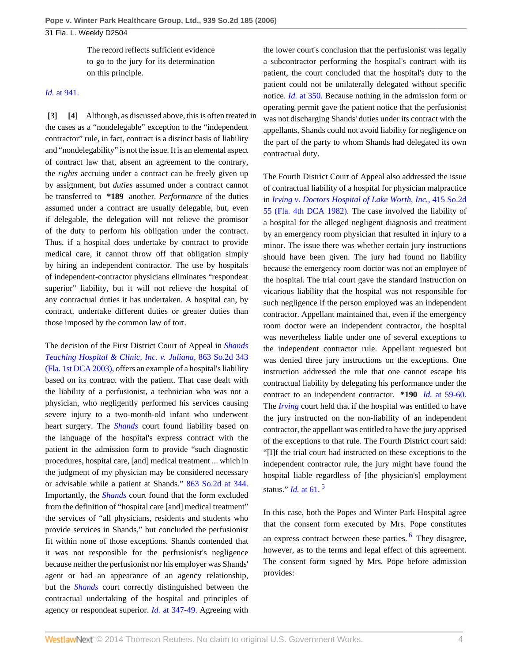The record reflects sufficient evidence to go to the jury for its determination on this principle.

#### *Id.* [at 941.](http://www.westlaw.com/Link/Document/FullText?findType=Y&serNum=1997086914&originationContext=document&vr=3.0&rs=cblt1.0&transitionType=DocumentItem&contextData=(sc.Default))

<span id="page-3-1"></span><span id="page-3-0"></span>**[\[3\]](#page-0-2) [\[4\]](#page-0-3)** Although, as discussed above, this is often treated in the cases as a "nondelegable" exception to the "independent contractor" rule, in fact, contract is a distinct basis of liability and "nondelegability" is not the issue. It is an elemental aspect of contract law that, absent an agreement to the contrary, the *rights* accruing under a contract can be freely given up by assignment, but *duties* assumed under a contract cannot be transferred to **\*189** another. *Performance* of the duties assumed under a contract are usually delegable, but, even if delegable, the delegation will not relieve the promisor of the duty to perform his obligation under the contract. Thus, if a hospital does undertake by contract to provide medical care, it cannot throw off that obligation simply by hiring an independent contractor. The use by hospitals of independent-contractor physicians eliminates "respondeat superior" liability, but it will not relieve the hospital of any contractual duties it has undertaken. A hospital can, by contract, undertake different duties or greater duties than those imposed by the common law of tort.

The decision of the First District Court of Appeal in *[Shands](http://www.westlaw.com/Link/Document/FullText?findType=Y&serNum=2003590835&pubNum=735&originationContext=document&vr=3.0&rs=cblt1.0&transitionType=DocumentItem&contextData=(sc.Default)) [Teaching Hospital & Clinic, Inc. v. Juliana,](http://www.westlaw.com/Link/Document/FullText?findType=Y&serNum=2003590835&pubNum=735&originationContext=document&vr=3.0&rs=cblt1.0&transitionType=DocumentItem&contextData=(sc.Default))* 863 So.2d 343 [\(Fla. 1st DCA 2003\)](http://www.westlaw.com/Link/Document/FullText?findType=Y&serNum=2003590835&pubNum=735&originationContext=document&vr=3.0&rs=cblt1.0&transitionType=DocumentItem&contextData=(sc.Default)), offers an example of a hospital's liability based on its contract with the patient. That case dealt with the liability of a perfusionist, a technician who was not a physician, who negligently performed his services causing severe injury to a two-month-old infant who underwent heart surgery. The *[Shands](http://www.westlaw.com/Link/Document/FullText?findType=Y&serNum=2003590835&originationContext=document&vr=3.0&rs=cblt1.0&transitionType=DocumentItem&contextData=(sc.Default))* court found liability based on the language of the hospital's express contract with the patient in the admission form to provide "such diagnostic procedures, hospital care, [and] medical treatment ... which in the judgment of my physician may be considered necessary or advisable while a patient at Shands." [863 So.2d at 344.](http://www.westlaw.com/Link/Document/FullText?findType=Y&serNum=2003590835&pubNum=735&fi=co_pp_sp_735_344&originationContext=document&vr=3.0&rs=cblt1.0&transitionType=DocumentItem&contextData=(sc.Default)#co_pp_sp_735_344) Importantly, the *[Shands](http://www.westlaw.com/Link/Document/FullText?findType=Y&serNum=2003590835&originationContext=document&vr=3.0&rs=cblt1.0&transitionType=DocumentItem&contextData=(sc.Default))* court found that the form excluded from the definition of "hospital care [and] medical treatment" the services of "all physicians, residents and students who provide services in Shands," but concluded the perfusionist fit within none of those exceptions. Shands contended that it was not responsible for the perfusionist's negligence because neither the perfusionist nor his employer was Shands' agent or had an appearance of an agency relationship, but the *[Shands](http://www.westlaw.com/Link/Document/FullText?findType=Y&serNum=2003590835&originationContext=document&vr=3.0&rs=cblt1.0&transitionType=DocumentItem&contextData=(sc.Default))* court correctly distinguished between the contractual undertaking of the hospital and principles of agency or respondeat superior. *Id.* [at 347-49.](http://www.westlaw.com/Link/Document/FullText?findType=Y&serNum=2003590835&originationContext=document&vr=3.0&rs=cblt1.0&transitionType=DocumentItem&contextData=(sc.Default)) Agreeing with the lower court's conclusion that the perfusionist was legally a subcontractor performing the hospital's contract with its patient, the court concluded that the hospital's duty to the patient could not be unilaterally delegated without specific notice. *Id.* [at 350.](http://www.westlaw.com/Link/Document/FullText?findType=Y&serNum=2003590835&originationContext=document&vr=3.0&rs=cblt1.0&transitionType=DocumentItem&contextData=(sc.Default)) Because nothing in the admission form or operating permit gave the patient notice that the perfusionist was not discharging Shands' duties under its contract with the appellants, Shands could not avoid liability for negligence on the part of the party to whom Shands had delegated its own contractual duty.

The Fourth District Court of Appeal also addressed the issue of contractual liability of a hospital for physician malpractice in *[Irving v. Doctors Hospital of Lake Worth, Inc.,](http://www.westlaw.com/Link/Document/FullText?findType=Y&serNum=1982124844&pubNum=735&originationContext=document&vr=3.0&rs=cblt1.0&transitionType=DocumentItem&contextData=(sc.Default))* 415 So.2d [55 \(Fla. 4th DCA 1982\).](http://www.westlaw.com/Link/Document/FullText?findType=Y&serNum=1982124844&pubNum=735&originationContext=document&vr=3.0&rs=cblt1.0&transitionType=DocumentItem&contextData=(sc.Default)) The case involved the liability of a hospital for the alleged negligent diagnosis and treatment by an emergency room physician that resulted in injury to a minor. The issue there was whether certain jury instructions should have been given. The jury had found no liability because the emergency room doctor was not an employee of the hospital. The trial court gave the standard instruction on vicarious liability that the hospital was not responsible for such negligence if the person employed was an independent contractor. Appellant maintained that, even if the emergency room doctor were an independent contractor, the hospital was nevertheless liable under one of several exceptions to the independent contractor rule. Appellant requested but was denied three jury instructions on the exceptions. One instruction addressed the rule that one cannot escape his contractual liability by delegating his performance under the contract to an independent contractor. **\*190** *Id.* [at 59-60.](http://www.westlaw.com/Link/Document/FullText?findType=Y&serNum=1982124844&originationContext=document&vr=3.0&rs=cblt1.0&transitionType=DocumentItem&contextData=(sc.Default)) The *[Irving](http://www.westlaw.com/Link/Document/FullText?findType=Y&serNum=1982124844&originationContext=document&vr=3.0&rs=cblt1.0&transitionType=DocumentItem&contextData=(sc.Default))* court held that if the hospital was entitled to have the jury instructed on the non-liability of an independent contractor, the appellant was entitled to have the jury apprised of the exceptions to that rule. The Fourth District court said: "[I]f the trial court had instructed on these exceptions to the independent contractor rule, the jury might have found the hospital liable regardless of [the physician's] employment status." *Id.* [at 61.](http://www.westlaw.com/Link/Document/FullText?findType=Y&serNum=1982124844&originationContext=document&vr=3.0&rs=cblt1.0&transitionType=DocumentItem&contextData=(sc.Default)) [5](#page-5-4)

<span id="page-3-3"></span><span id="page-3-2"></span>In this case, both the Popes and Winter Park Hospital agree that the consent form executed by Mrs. Pope constitutes an express contract between these parties. <sup>[6](#page-5-5)</sup> They disagree, however, as to the terms and legal effect of this agreement. The consent form signed by Mrs. Pope before admission provides: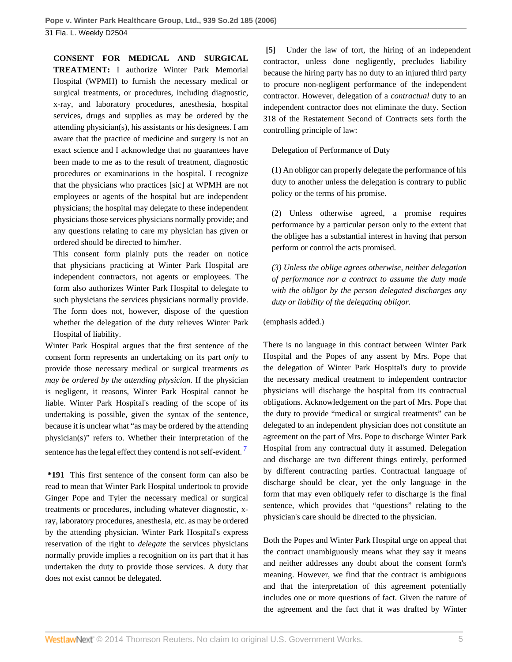**CONSENT FOR MEDICAL AND SURGICAL TREATMENT:** I authorize Winter Park Memorial Hospital (WPMH) to furnish the necessary medical or surgical treatments, or procedures, including diagnostic, x-ray, and laboratory procedures, anesthesia, hospital services, drugs and supplies as may be ordered by the attending physician(s), his assistants or his designees. I am aware that the practice of medicine and surgery is not an exact science and I acknowledge that no guarantees have been made to me as to the result of treatment, diagnostic procedures or examinations in the hospital. I recognize that the physicians who practices [sic] at WPMH are not employees or agents of the hospital but are independent physicians; the hospital may delegate to these independent physicians those services physicians normally provide; and any questions relating to care my physician has given or ordered should be directed to him/her.

This consent form plainly puts the reader on notice that physicians practicing at Winter Park Hospital are independent contractors, not agents or employees. The form also authorizes Winter Park Hospital to delegate to such physicians the services physicians normally provide. The form does not, however, dispose of the question whether the delegation of the duty relieves Winter Park Hospital of liability.

Winter Park Hospital argues that the first sentence of the consent form represents an undertaking on its part *only* to provide those necessary medical or surgical treatments *as may be ordered by the attending physician.* If the physician is negligent, it reasons, Winter Park Hospital cannot be liable. Winter Park Hospital's reading of the scope of its undertaking is possible, given the syntax of the sentence, because it is unclear what "as may be ordered by the attending physician(s)" refers to. Whether their interpretation of the sentence has the legal effect they contend is not self-evident.<sup>[7](#page-5-6)</sup>

**\*191** This first sentence of the consent form can also be read to mean that Winter Park Hospital undertook to provide Ginger Pope and Tyler the necessary medical or surgical treatments or procedures, including whatever diagnostic, xray, laboratory procedures, anesthesia, etc. as may be ordered by the attending physician. Winter Park Hospital's express reservation of the right to *delegate* the services physicians normally provide implies a recognition on its part that it has undertaken the duty to provide those services. A duty that does not exist cannot be delegated.

<span id="page-4-0"></span>**[\[5\]](#page-0-4)** Under the law of tort, the hiring of an independent contractor, unless done negligently, precludes liability because the hiring party has no duty to an injured third party to procure non-negligent performance of the independent contractor. However, delegation of a *contractual* duty to an independent contractor does not eliminate the duty. Section 318 of the Restatement Second of Contracts sets forth the controlling principle of law:

Delegation of Performance of Duty

(1) An obligor can properly delegate the performance of his duty to another unless the delegation is contrary to public policy or the terms of his promise.

(2) Unless otherwise agreed, a promise requires performance by a particular person only to the extent that the obligee has a substantial interest in having that person perform or control the acts promised.

*(3) Unless the oblige agrees otherwise, neither delegation of performance nor a contract to assume the duty made with the obligor by the person delegated discharges any duty or liability of the delegating obligor.*

(emphasis added.)

There is no language in this contract between Winter Park Hospital and the Popes of any assent by Mrs. Pope that the delegation of Winter Park Hospital's duty to provide the necessary medical treatment to independent contractor physicians will discharge the hospital from its contractual obligations. Acknowledgement on the part of Mrs. Pope that the duty to provide "medical or surgical treatments" can be delegated to an independent physician does not constitute an agreement on the part of Mrs. Pope to discharge Winter Park Hospital from any contractual duty it assumed. Delegation and discharge are two different things entirely, performed by different contracting parties. Contractual language of discharge should be clear, yet the only language in the form that may even obliquely refer to discharge is the final sentence, which provides that "questions" relating to the physician's care should be directed to the physician.

<span id="page-4-1"></span>Both the Popes and Winter Park Hospital urge on appeal that the contract unambiguously means what they say it means and neither addresses any doubt about the consent form's meaning. However, we find that the contract is ambiguous and that the interpretation of this agreement potentially includes one or more questions of fact. Given the nature of the agreement and the fact that it was drafted by Winter